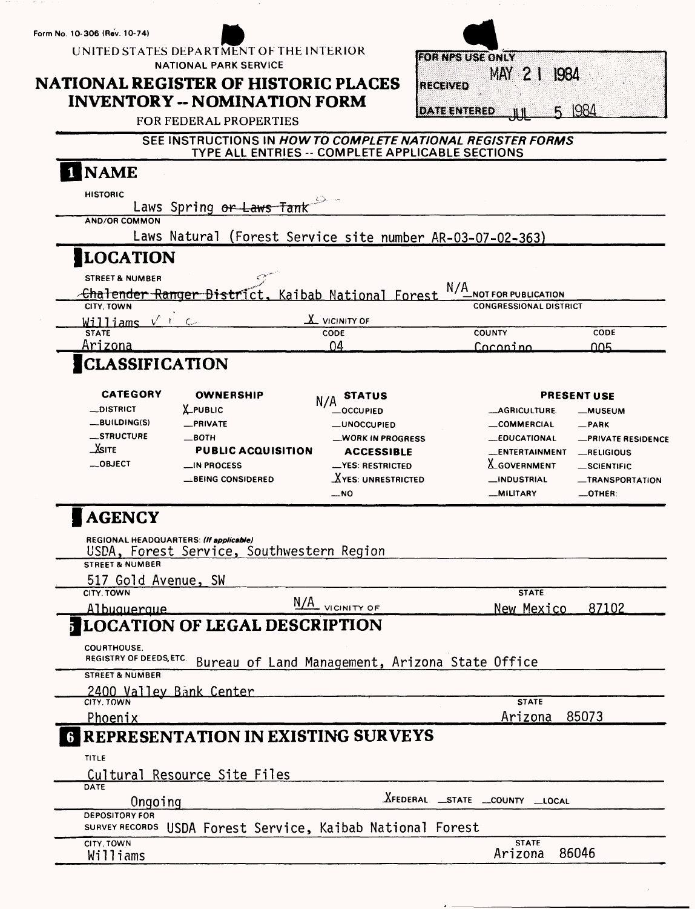**Form No. 10-306 (Rev. 10-74)**

**UNITED STATES DEPARTMENT OF THE INTERIOR NATIONAL PARK SERVICE**

# **NATIONAL REGISTER OF HISTORIC PLACES INVENTORY - NOMINATION FORM**

|                     | <b>FOR NPS USE ONLY</b> |         |      |  |
|---------------------|-------------------------|---------|------|--|
|                     |                         | MAY 2 1 | 1984 |  |
| <b>RECEIVED</b>     |                         |         |      |  |
|                     |                         |         |      |  |
| <b>DATE ENTERED</b> |                         |         |      |  |

FOR FEDERAL PROPERTIES

| SEE INSTRUCTIONS IN HOW TO COMPLETE NATIONAL REGISTER FORMS |  |
|-------------------------------------------------------------|--|
|                                                             |  |
| TYPE ALL ENTRIES -- COMPLETE APPLICABLE SECTIONS            |  |
|                                                             |  |

| <b>NAME</b>                                          |                                                            |                                                 |                                        |                                           |
|------------------------------------------------------|------------------------------------------------------------|-------------------------------------------------|----------------------------------------|-------------------------------------------|
| <b>HISTORIC</b>                                      | Laws Spring or Laws Tank                                   |                                                 |                                        |                                           |
| <b>AND/OR COMMON</b>                                 |                                                            |                                                 |                                        |                                           |
|                                                      | Laws Natural (Forest Service site number AR-03-07-02-363)  |                                                 |                                        |                                           |
| <b>LOCATION</b>                                      |                                                            |                                                 |                                        |                                           |
| <b>STREET &amp; NUMBER</b>                           |                                                            |                                                 |                                        |                                           |
|                                                      | <u> -Chalender Ranger District, Kaibab National Forest</u> |                                                 | N/A<br><b>NOT FOR PUBLICATION</b>      |                                           |
| CITY, TOWN<br>Williams $\sqrt{1-\epsilon}$           |                                                            | $\underline{\mathbf{X}}$ vicinity of            | <b>CONGRESSIONAL DISTRICT</b>          |                                           |
| <b>STATE</b>                                         |                                                            | CODE                                            | <b>COUNTY</b>                          | CODE                                      |
| Arizona                                              |                                                            | 04                                              | Caconino                               | ∩∩ҕ                                       |
| <b>CLASSIFICATION</b>                                |                                                            |                                                 |                                        |                                           |
| <b>CATEGORY</b>                                      | <b>OWNERSHIP</b>                                           | <b>STATUS</b>                                   |                                        | <b>PRESENT USE</b>                        |
| <b>__DISTRICT</b>                                    | <b>LPUBLIC</b>                                             | _OCCUPIED                                       | __AGRICULTURE.                         | <b>_MUSEUM</b>                            |
| _BUILDING(S)                                         | -PRIVATE                                                   | <b>__UNOCCUPIED</b>                             | __COMMERCIAL                           | $-$ PARK                                  |
| _STRUCTURE                                           | $\_$ BOTH                                                  | __WORK IN PROGRESS                              | <b>__EDUCATIONAL</b>                   | <b>_PRIVATE RESIDENCE</b>                 |
| <b>SITE</b>                                          | <b>PUBLIC ACQUISITION</b>                                  | <b>ACCESSIBLE</b>                               | <b>__ENTERTAINMENT</b>                 | <b>_RELIGIOUS</b>                         |
| _OBJECT                                              | $\equiv$ IN PROCESS                                        | -YES: RESTRICTED                                | <b>LGOVERNMENT</b>                     | _SCIENTIFIC                               |
|                                                      | <b>BEING CONSIDERED</b>                                    | $X$ YES: UNRESTRICTED<br>__NO                   | <b>__INDUSTRIAL</b><br><b>MILITARY</b> | <b>_TRANSPORTATION</b><br>$\equiv$ OTHER: |
| <b>STREET &amp; NUMBER</b><br>517 Gold Avenue, SW    | USDA, Forest Service, Southwestern Region                  |                                                 |                                        |                                           |
| CITY, TOWN<br>Albuquerque                            |                                                            | N/A VICINITY OF                                 | <b>STATE</b><br><u>New Mexico</u>      | 87102                                     |
|                                                      | <b>JLOCATION OF LEGAL DESCRIPTION</b>                      |                                                 |                                        |                                           |
| <b>COURTHOUSE.</b><br><b>REGISTRY OF DEEDS, ETC.</b> |                                                            | Bureau of Land Management, Arizona State Office |                                        |                                           |
| <b>STREET &amp; NUMBER</b>                           | 2400 Valley Bank Center                                    |                                                 |                                        |                                           |
| CITY, TOWN                                           |                                                            |                                                 | <b>STATE</b>                           |                                           |
| <u>Phoenix</u>                                       |                                                            |                                                 | Arizona                                | 85073                                     |
|                                                      | <b>G REPRESENTATION IN EXISTING SURVEYS</b>                |                                                 |                                        |                                           |
| <b>TITLE</b>                                         |                                                            |                                                 |                                        |                                           |
|                                                      | Cultural Resource Site Files                               |                                                 |                                        |                                           |
| DATE<br>Ongoing                                      |                                                            |                                                 | <b>XFEDERAL</b> STATE COUNTY LOCAL     |                                           |
| <b>DEPOSITORY FOR</b>                                |                                                            |                                                 |                                        |                                           |
| CITY, TOWN                                           | SURVEY RECORDS USDA Forest Service, Kaibab National Forest |                                                 | <b>STATE</b>                           |                                           |
| Williams                                             |                                                            |                                                 | Arizona                                | 86046                                     |
|                                                      |                                                            |                                                 |                                        |                                           |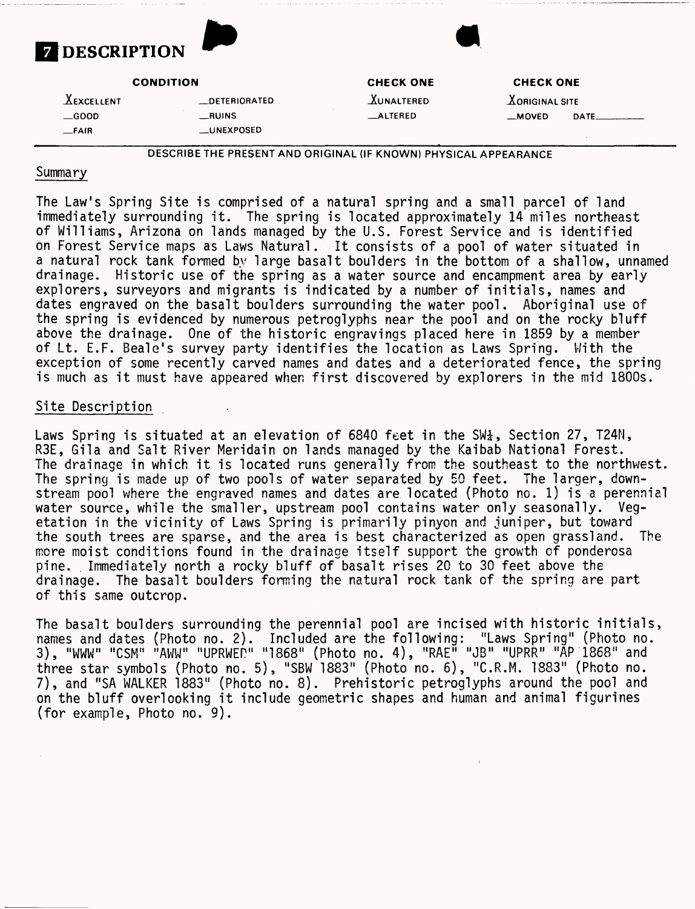

**CONDITION**

**-^EXCELLENT \_DETERIORATED \_GOOD \_RUINS \_FAIR \_UNEXPOSED**

**CHECK ONE**

**JCuNALTERED \_ALTERED**

**CHECK ONE**

*X***ORIGINAL SITE —MOVED DATE-**

DESCRIBE THE PRESENT AND ORIGINAL (IF KNOWN) PHYSICAL APPEARANCE

#### Summary

The Law's Spring Site is comprised of a natural spring and a small parcel of land immediately surrounding it. The spring is located approximately 14 miles northeast of Williams, Arizona on lands managed by the U.S. Forest Service and is identified on Forest Service maps as Laws Natural. It consists of a pool of water situated in a natural rock tank formed by large basalt boulders in the bottom of a shallow, unnamed drainage. Historic use of the spring as a water source and encampment area by early explorers, surveyors and migrants is indicated by a number of initials, names and dates engraved on the basalt boulders surrounding the water pool. Aboriginal use of the spring is evidenced by numerous petroglyphs near the pool and on the rocky bluff above the drainage. One of the historic engravings placed here in 1859 by a member of Lt. E.F. Beale's survey party identifies the location as Laws Spring. With the exception of some recently carved names and dates and a deteriorated fence, the spring is much as it must have appeared when first discovered by explorers in the mid 1800s.

### Site Description

Laws Spring is situated at an elevation of 6840 feet in the  $SW^1_A$ , Section 27, T24N, R3E, Gila and Salt River Meridain on lands managed by the Kaibab National Forest. The drainage in which it is located runs generally from the southeast to the northwest. The spring is made up of two pools of water separated by 50 feet. The larger, downstream pool where the engraved names and dates are located (Photo no. 1) is a perennial water source, while the smaller, upstream pool contains water only seasonally. Vegetation in the vicinity of Laws Spring is primarily pinyon and juniper, but toward the south trees are sparse, and the area is best characterized as open grassland. The more moist conditions found in the drainage itself support the growth of ponderosa pine. Immediately north a rocky bluff of basalt rises 20 to 30 feet above the drainage. The basalt boulders forming the natural rock tank of the spring are part of this same outcrop.

The basalt boulders surrounding the perennial pool are incised with historic initials, names and dates (Photo no. 2). Included are the following: "Laws Spring" (Photo no. 3), "WWW" "CSM" "AWW" "UPRWED" "1868" (Photo no. 4), "RAE" "JB" "UPRR" "AP 1868" and three star symbols (Photo no. 5), "SBW 1883" (Photo no. 6), "C.R.M. 1883" (Photo no. 7), and "SA WALKER 1883" (Photo no. 8). Prehistoric petroglyphs around the pool and on the bluff overlooking it include geometric shapes and human and animal figurines (for example, Photo no. 9).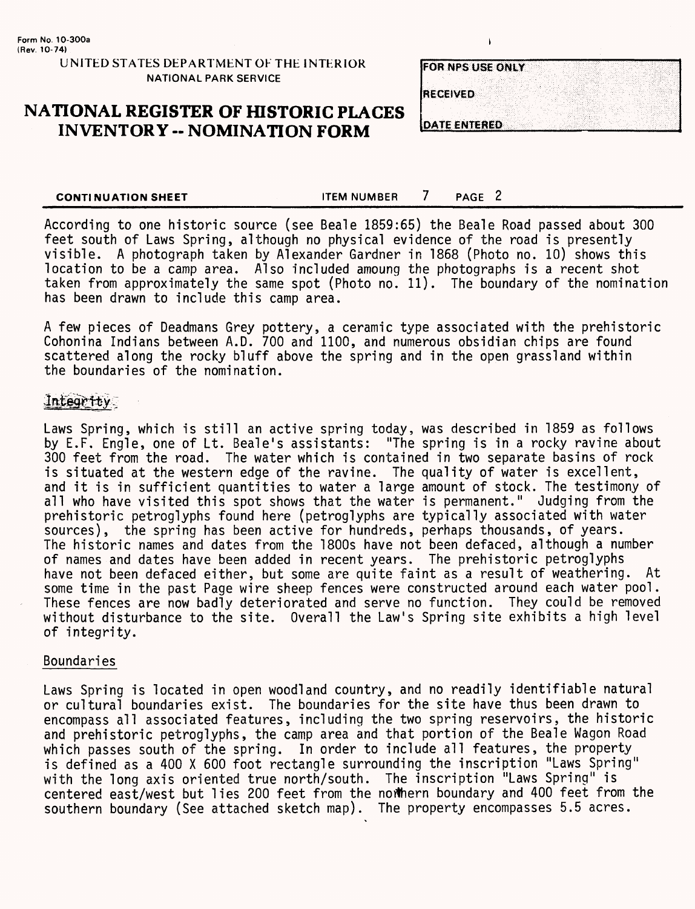#### **UNITED STATES DEPARTiMENT OF THE INTERIOR NATIONAL PARK SERVICE**

# **NATIONAL REGISTER OF HISTORIC PLACES INVENTORY -- NOMINATION FORM**

| <b>FOR NPS USE ONLY</b> |  |  |  |  |  |  |  |
|-------------------------|--|--|--|--|--|--|--|
|                         |  |  |  |  |  |  |  |
| <b>RECEIVED</b>         |  |  |  |  |  |  |  |
|                         |  |  |  |  |  |  |  |
| DATE ENTERED            |  |  |  |  |  |  |  |

 $\mathbf{I}$ 

**CONTINUATION SHEET** FOR THE MUMBER THE PAGE 2

According to one historic source (see Beale 1859:65) the Beale Road passed about 300 feet south of Laws Spring, although no physical evidence of the road is presently visible. A photograph taken by Alexander Gardner in 1868 (Photo no. 10) shows this location to be a camp area. Also included amoung the photographs is a recent shot taken from approximately the same spot (Photo no. 11). The boundary of the nomination has been drawn to include this camp area.

A few pieces of Deadmans Grey pottery, a ceramic type associated with the prehistoric Cohonina Indians between A.D. 700 and 1100, and numerous obsidian chips are found scattered along the rocky bluff above the spring and in the open grassland within the boundaries of the nomination.

### Integrity

Laws Spring, which is still an active spring today, was described in 1859 as follows by E.F. Engle, one of Lt. Beale's assistants: "The spring is in a rocky ravine about 300 feet from the road. The water which is contained in two separate basins of rock is situated at the western edge of the ravine. The quality of water is excellent, and it is in sufficient quantities to water a large amount of stock. The testimony of all who have visited this spot shows that the water is permanent." Judging from the prehistoric petroglyphs found here (petroglyphs are typically associated with water sources), the spring has been active for hundreds, perhaps thousands, of years. The historic names and dates from the 1800s have not been defaced, although a number of names and dates have been added in recent years. The prehistoric petroglyphs have not been defaced either, but some are quite faint as a result of weathering. At some time in the past Page wire sheep fences were constructed around each water pool. These fences are now badly deteriorated and serve no function. They could be removed without disturbance to the site. Overall the Law's Spring site exhibits a high level of integrity.

#### Boundaries

Laws Spring is located in open woodland country, and no readily identifiable natural or cultural boundaries exist. The boundaries for the site have thus been drawn to encompass all associated features, including the two spring reservoirs, the historic and prehistoric petroglyphs, the camp area and that portion of the Beale Wagon Road which passes south of the spring. In order to include all features, the property is defined as a 400 X 600 foot rectangle surrounding the inscription "Laws Spring" with the long axis oriented true north/south. The inscription "Laws Spring" is centered east/west but lies 200 feet from the northern boundary and 400 feet from the southern boundary (See attached sketch map). The property encompasses 5.5 acres.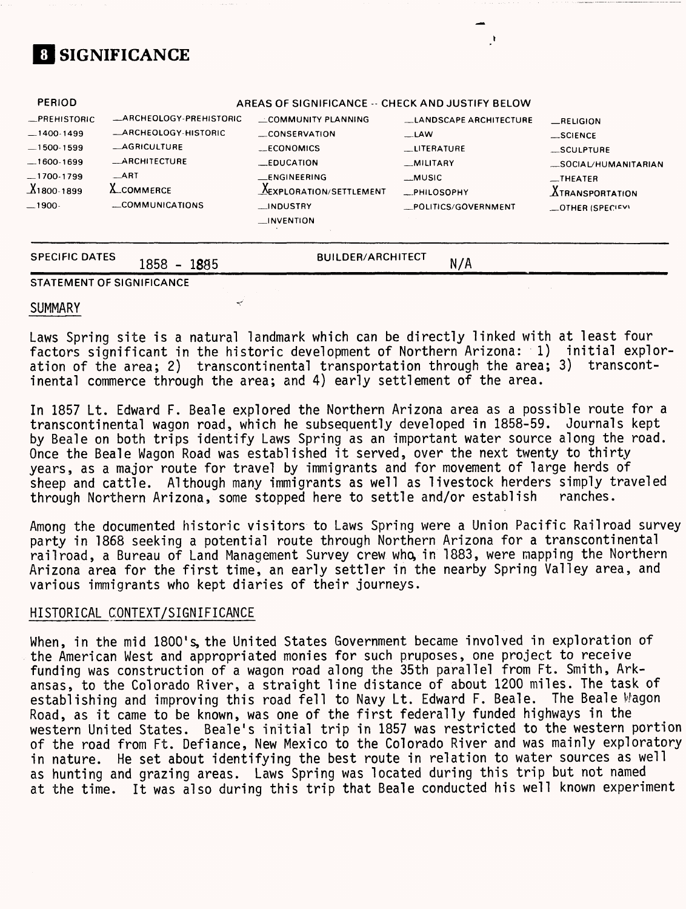# **SIGNIFICANCE**

| <b>PERIOD</b>                                                                                  |                                                                                                                                   | AREAS OF SIGNIFICANCE -- CHECK AND JUSTIFY BELOW                                                        |                                                                                                   |                                                                                                        |
|------------------------------------------------------------------------------------------------|-----------------------------------------------------------------------------------------------------------------------------------|---------------------------------------------------------------------------------------------------------|---------------------------------------------------------------------------------------------------|--------------------------------------------------------------------------------------------------------|
| -PREHISTORIC<br>$-1400-1499$<br>$-1500-1599$<br>$-1600-1699$<br>$-1700-1799$<br>$X_1$ 800-1899 | ARCHEOLOGY-PREHISTORIC<br><b>_ARCHEOLOGY-HISTORIC</b><br><b>_AGRICULTURE</b><br><b>__ARCHITECTURE</b><br>ART<br><b>A_COMMERCE</b> | <b>LLCOMMUNITY PLANNING</b><br>CONSERVATION<br><b>__ECONOMICS</b><br>$E$ DUCATION<br><b>ENGINEERING</b> | <b>LANDSCAPE ARCHITECTURE</b><br>$-LAW$<br>LITERATURE<br>_MILITARY<br><b>MUSIC</b><br>_PHILOSOPHY | RELIGION<br>$\_$ SCIENCE<br>_SCULPTURE<br>SOCIAL/HUMANITARIAN<br>$-$ THEATER<br><b>ATRANSPORTATION</b> |
| $-1900-$                                                                                       | COMMUNICATIONS                                                                                                                    | __INDUSTRY<br>$\blacksquare$ INVENTION                                                                  | _POLITICS/GOVERNMENT                                                                              | -OTHER (SPECIFY)                                                                                       |

SPECIFIC DATES 1858 - 1885 **BUILDER/ARCHITECT** 

**N/A**

#### **STATEMENT OF SIGNIFICANCE**

#### SUMMARY

Laws Spring site is a natural landmark which can be directly linked with at least four factors significant in the historic development of Northern Arizona: 1) initial exploration of the area; 2) transcontinental transportation through the area; 3) transcontinental commerce through the area; and 4) early settlement of the area.

In 1857 Lt. Edward F. Beale explored the Northern Arizona area as a possible route for a transcontinental wagon road, which he subsequently developed in 1858-59. Journals kept by Beale on both trips identify Laws Spring as an important water source along the road. Once the Beale Wagon Road was established it served, over the next twenty to thirty years, as a major route for travel by immigrants and for movement of large herds of sheep and cattle. Although many immigrants as well as livestock herders simply traveled<br>through Northern Arizona, some stopped here to settle and/or establish sanches. through Northern Arizona, some stopped here to settle and/or establish

Among the documented historic visitors to Laws Spring were a Union Pacific Railroad survey party in 1868 seeking a potential route through Northern Arizona for a transcontinental railroad, a Bureau of Land Management Survey crew who, in 1883, were mapping the Northern Arizona area for the first time, an early settler in the nearby Spring Valley area, and various immigrants who kept diaries of their journeys.

#### HISTORICAL CONTEXT/SIGNIFICANCE

When, in the mid 1800's, the United States Government became involved in exploration of the American West and appropriated monies for such pruposes, one project to receive funding was construction of a wagon road along the 35th parallel from Ft. Smith, Arkansas, to the Colorado River, a straight line distance of about 1200 miles. The task of establishing and improving this road fell to Navy Lt. Edward F. Beale. The Beale Wagon Road, as it came to be known, was one of the first federally funded highways in the western United States. Beale's initial trip in 1857 was restricted to the western portion of the road from Ft. Defiance, New Mexico to the Colorado River and was mainly exploratory in nature. He set about identifying the best route in relation to water sources as well as hunting and grazing areas. Laws Spring was located during this trip but not named at the time. It was also during this trip that Beale conducted his well known experiment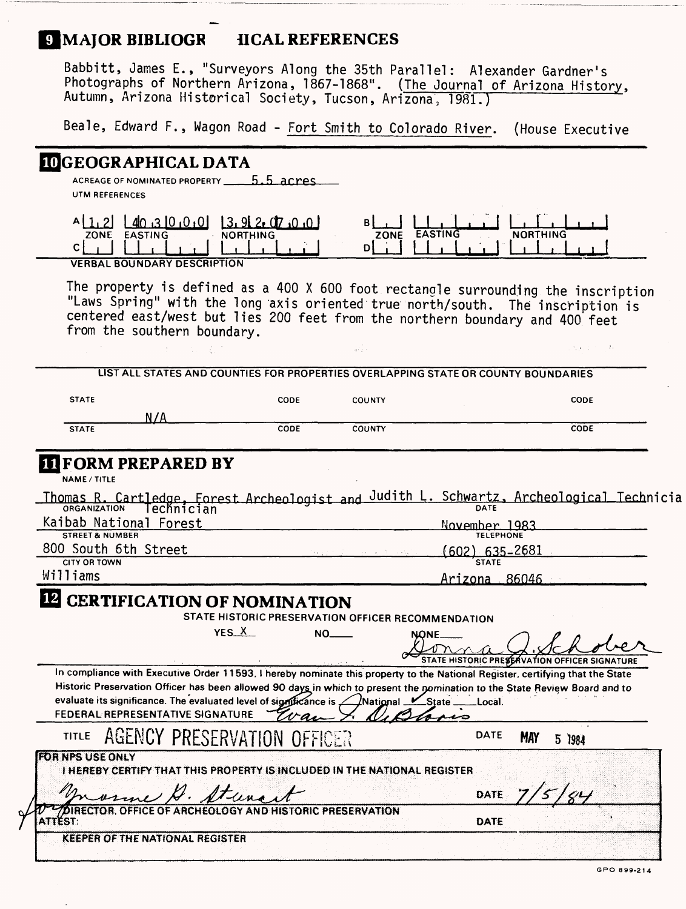# **E MAJOR BIBLIOGR IICAL REFERENCES**

Babbitt, James E., "Surveyors Along the 35th Parallel: Alexander Gardner's Photographs of Northern Arizona, 1867-1868". (The Journal of Arizona History, Autumn, Arizona Historical Society, Tucson, Arizona, 1981.)

Beale, Edward F., Wagon Road - Fort Smith to Colorado River. (House Executive

### **^GEOGRAPHICAL DATA**

ACREAGE OF NOMINATED PROPERTY **5.5 acres** UTM REFERENCES

| ⊿ഥ                          | -QJ      |      |                |                 |
|-----------------------------|----------|------|----------------|-----------------|
| ZONE<br><b>FASTING</b>      | NORTHING | ZONE | <b>FASTING</b> | <b>NORTHING</b> |
|                             |          |      |                |                 |
| VERBAL BOUNDARY BECOBIOTION |          |      |                |                 |

**VERBAL BOUNDARY DESCRIPTION**

The property is defined as a 400 X 600 foot rectangle surrounding the inscription "Laws Spring" with the long 'axis oriented true north/south. The inscription is centered east/west but lies 200 feet from the northern boundary and 400 feet from the southern boundary.

an I

| <b>STATE</b>        | <b>CODE</b> | <b>COUNTY</b> | <b>CODE</b> |
|---------------------|-------------|---------------|-------------|
|                     |             |               |             |
| N/A<br><b>STATE</b> | CODE        | <b>COUNTY</b> | <b>CODE</b> |

NAME/TITLE

|                            | Thomas R. Cartledge, Forest Archeologist and Judith L. Schwartz, Archeological Technicia |
|----------------------------|------------------------------------------------------------------------------------------|
|                            |                                                                                          |
| Kaibab National Forest     | November 1983                                                                            |
| <b>STREET &amp; NUMBER</b> | <b>TELEPHONE</b>                                                                         |
| 800 South 6th Street       | $(602)$ 635–2681<br>化分子的 化硫酸盐 医水杨酸盐 医心脏病                                                 |
| <b>CITY OR TOWN</b>        | <b>STATE</b>                                                                             |

Williams\_\_\_\_\_\_\_\_\_\_\_\_\_\_\_\_\_\_\_\_\_\_\_\_\_\_\_\_\_\_\_\_\_\_\_Arizona 86046\_\_\_\_\_\_\_\_\_\_

#### $12$ **CERTIFICATION OF NOMINATION**

**STATE HISTORIC PRESERVATION OFFICER RECOMMENDATION** 

**YES X NO\_\_\_\_ NONE.** 

 $\Gamma$ **\_\_\_\_\_\_\_\_\_\_\_\_\_\_\_\_\_\_\_\_\_.\_\_\_\_\_\_\_\_\_\_\_;\_\_\_\_\_ .••••••.•'\_\_\_\_\_\_'^STATE HISTORjC PREg^VATJON QlFFICER SIGNATURE**

DATE

In compliance with Executive Order 11593, I hereby nominate this property to the National Register, certifying that the State **Historic Preservation Officer has been allowed 90 days in which to present the nomination to the State Review Board and to**  evaluate its significance. The evaluated level of significance is **Alational Ketter Local** botal **Ketter FEDERAL REPRESENTATIVE SIGNATURE** ەمىد

#### AGENCY PRESERVATION OFFICER TITLE

5 1984

5 | 84

**FOR NPS USE ONLY<br>I HEREBY CERTIFY THAT THIS PROPERTY IS INCLUDED IN THE NATIONAL REGISTER** 

una it

**IPCORTOB. OFFICE OF ARCHEOLOGY AND HISTORIC PRESERVATION**<br>ITTEST:

**ATIÉST:** DREAD AND DE LA CERTAINE DE LA SIGNE DE LA CIUDAD AVEC DE LA **DATE** 

**KEEPER OF THE NATIONAL REGISTER** 

 $\mathcal{X}_2$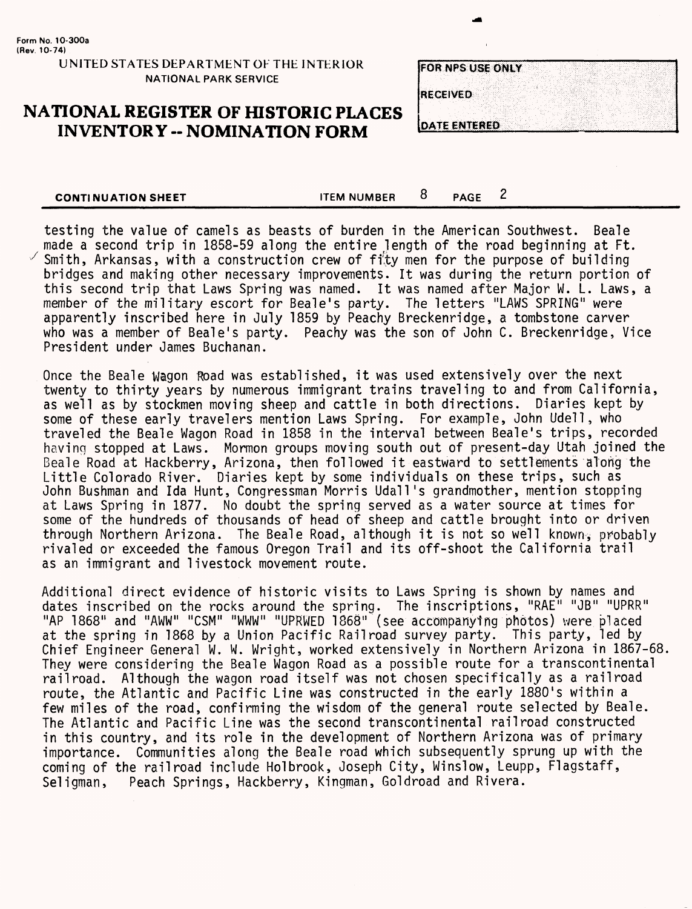#### **UNITED STATES DEPARTMENT OF THE INTERIOR NATIONAL PARK SERVICE**

# **NATIONAL REGISTER OF HISTORIC PLACES INVENTORY -- NOMINATION FORM**

| OR NPS USE ONLY |  |
|-----------------|--|
|                 |  |
| <b>ECEIVED</b>  |  |
|                 |  |
| LA TELEVISIONE  |  |

**CONTINUATION SHEET CONTINUATION SHEET** 

testing the value of camels as beasts of burden in the American Southwest. Beale made a second trip in 1858-59 along the entire length of the road beginning at Ft. Smith, Arkansas, with a construction crew of fity men for the purpose of building bridges and making other necessary improvements. It was during the return portion of this second trip that Laws Spring was named. It was named after Major W. L. Laws, a member of the military escort for Beale's party. The letters "LAWS SPRING" were apparently inscribed here in July 1859 by Peachy Breckenridge, a tombstone carver who was a member of Beale's party. Peachy was the son of John C. Breckenridge, Vice President under James Buchanan.

Once the Beale Wagon Road was established, it was used extensively over the next twenty to thirty years by numerous immigrant trains traveling to and from California, as well as by stockmen moving sheep and cattle in both directions. Diaries kept by some of these early travelers mention Laws Spring. For example, John Udell, who traveled the Beale Wagon Road in 1858 in the interval between Beale's trips, recorded having stopped at Laws. Mormon groups moving south out of present-day Utah joined the Beale Road at Hackberry, Arizona, then followed it eastward to settlements along the Little Colorado River. Diaries kept by some individuals on these trips, such as John Bushman and Ida Hunt, Congressman Morris Udall's grandmother, mention stopping at Laws Spring in 1877. No doubt the spring served as a water source at times for some of the hundreds of thousands of head of sheep and cattle brought into or driven through Northern Arizona. The Beale Road, although it is not so well known, probably rivaled or exceeded the famous Oregon Trail and its off-shoot the California trail as an immigrant and livestock movement route.

Additional direct evidence of historic visits to Laws Spring is shown by names and dates inscribed on the rocks around the spring. The inscriptions, "RAE" "JB" "UPRR" "AP 1868" and "AWW" "CSM" "WWW" "UPKWED 1868" (see accompanying photos) were placed at the spring in 1868 by a Union Pacific Railroad survey party. This party, led by Chief Engineer General W. W. Wright, worked extensively in Northern Arizona in 1867-68. They were considering the Beale Wagon Road as a possible route for a transcontinental railroad. Although the wagon road itself was not chosen specifically as a railroad route, the Atlantic and Pacific Line was constructed in the early 1880's within a few miles of the road, confirming the wisdom of the general route selected by Beale. The Atlantic and Pacific Line was the second transcontinental railroad constructed in this country, and its role in the development of Northern Arizona was of primary importance. Communities along the Beale road which subsequently sprung up with the coming of the railroad include Hoi brook, Joseph City, Winslow, Leupp, Flagstaff, Seligman, Peach Springs, Hackberry, Kingman, Goldroad and Rivera.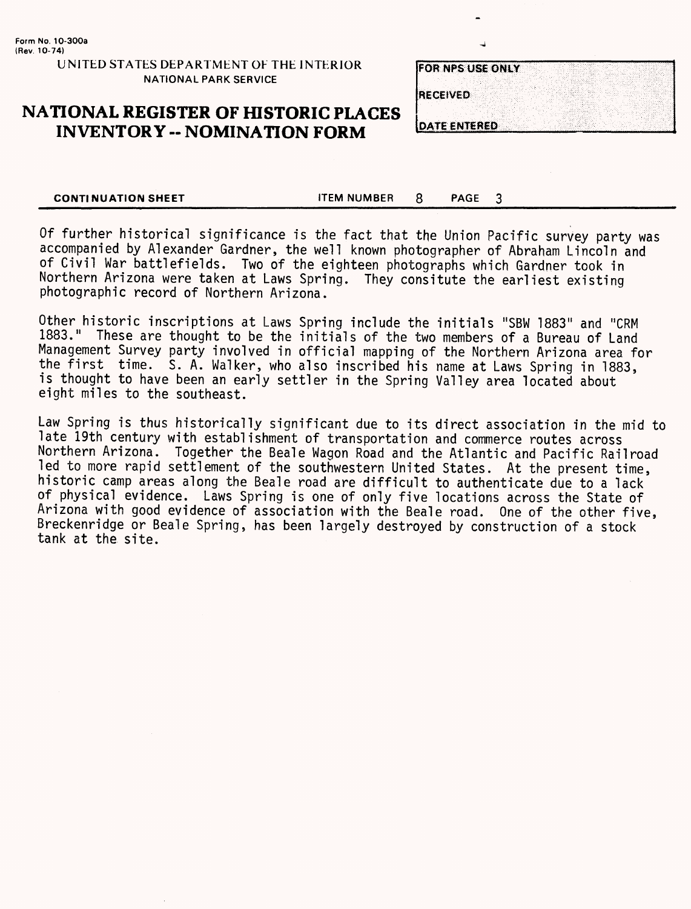**UNITED STATES DEPARTMENT OF THE INTERIOR NATIONAL PARK SERVICE**

# **NATIONAL REGISTER OF HISTORIC PLACES INVENTORY - NOMINATION FORM**

| FOR NPS USE ONLY    |  |  |  |  |  |  |  |  |  |  |  |  |  |
|---------------------|--|--|--|--|--|--|--|--|--|--|--|--|--|
|                     |  |  |  |  |  |  |  |  |  |  |  |  |  |
|                     |  |  |  |  |  |  |  |  |  |  |  |  |  |
| <b>RECEIVED</b>     |  |  |  |  |  |  |  |  |  |  |  |  |  |
|                     |  |  |  |  |  |  |  |  |  |  |  |  |  |
| <b>DATE CNTERED</b> |  |  |  |  |  |  |  |  |  |  |  |  |  |

3

**CONTINUATION SHEET ITEM NUMBER** 8 **PAGE** 

Of further historical significance is the fact that the Union Pacific survey party was accompanied by Alexander Gardner, the well known photographer of Abraham Lincoln and of Civil War battlefields. Two of the eighteen photographs which Gardner took in Northern Arizona were taken at Laws Spring. They consitute the earliest existing photographic record of Northern Arizona.

Other historic inscriptions at Laws Spring include the initials "SBW 1883" and "CRM 1883." These are thought to be the initials of the two members of a Bureau of Land Management Survey party involved in official mapping of the Northern Arizona area for the first time. S. A. Walker, who also inscribed his name at Laws Spring in 1883, is thought to have been an early settler in the Spring Valley area located about eight miles to the southeast.

Law Spring is thus historically significant due to its direct association in the mid to late 19th century with establishment of transportation and commerce routes across Northern Arizona. Together the Beale Wagon Road and the Atlantic and Pacific Railroad led to more rapid settlement of the southwestern United States. At the present time, historic camp areas along the Beale road are difficult to authenticate due to a lack of physical evidence. Laws Spring is one of only five locations across the State of Arizona with good evidence of association with the Beale road. One of the other five, Breckenridge or Beale Spring, has been largely destroyed by construction of a stock tank at the site.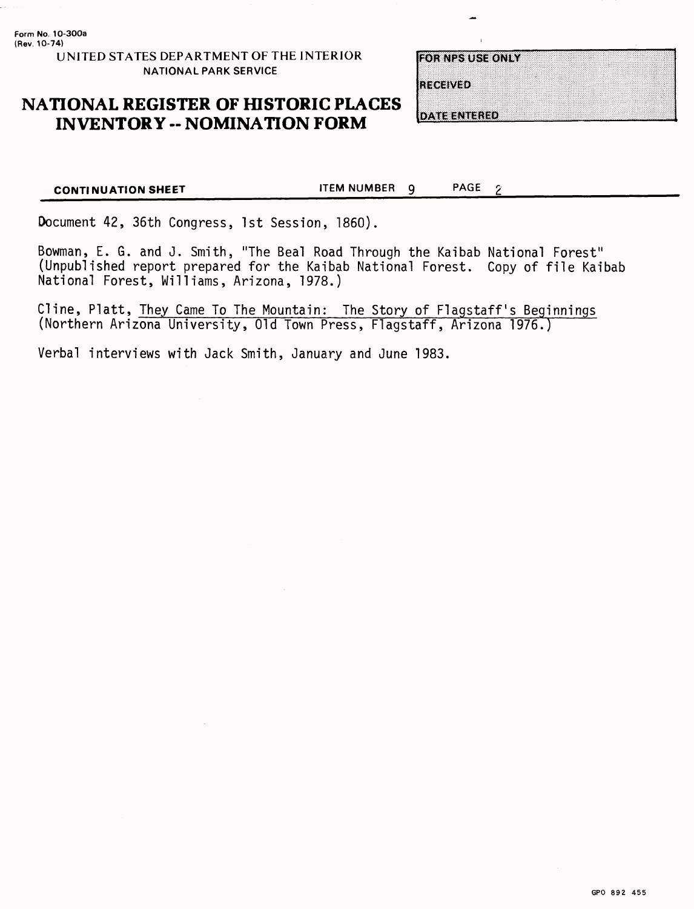# **NATIONAL REGISTER OF HISTORIC PLACES INVENTORY -- NOMINATION FORM**

| OR NPS USE ONLY |  |  |
|-----------------|--|--|
|                 |  |  |
|                 |  |  |
|                 |  |  |
|                 |  |  |
|                 |  |  |
|                 |  |  |
|                 |  |  |
|                 |  |  |
|                 |  |  |
|                 |  |  |
|                 |  |  |
|                 |  |  |
|                 |  |  |
|                 |  |  |
| IE GEIVED       |  |  |
|                 |  |  |
|                 |  |  |
|                 |  |  |

**DATE ENTERED** 

**CONTINUATION SHEET** TEM NUMBER 9 PAGE 2

Document 42, 36th Congress, 1st Session, 1860).

Bowman, E. G. and J. Smith, "The Beal Road Through the Kaibab National Forest" (Unpublished report prepared for the Kaibab National Forest. Copy of file Kaibab National Forest, Williams, Arizona, 1978.)

Cline, Platt, They Came To The Mountain: The Story of Flagstaff's Beginnings (Northern Arizona University, Old Town Press, Flagstaff, Arizona 1976.)

Verbal interviews with Jack Smith, January and June 1983.